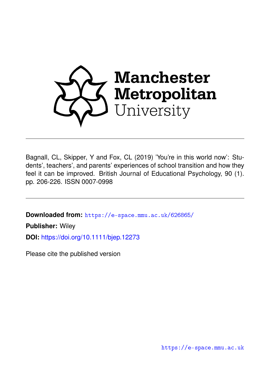

Bagnall, CL, Skipper, Y and Fox, CL (2019) 'You're in this world now': Students', teachers', and parents' experiences of school transition and how they feel it can be improved. British Journal of Educational Psychology, 90 (1). pp. 206-226. ISSN 0007-0998

**Downloaded from:** <https://e-space.mmu.ac.uk/626865/>

**Publisher:** Wiley

**DOI:** <https://doi.org/10.1111/bjep.12273>

Please cite the published version

<https://e-space.mmu.ac.uk>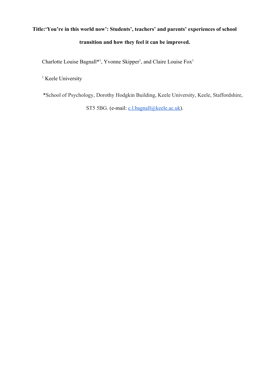# **Title:'You're in this world now': Students', teachers' and parents' experiences of school transition and how they feel it can be improved.**

Charlotte Louise Bagnall<sup>\*1</sup>, Yvonne Skipper<sup>1</sup>, and Claire Louise  $Fox<sup>1</sup>$ 

<sup>1</sup> Keele University

\*School of Psychology, Dorothy Hodgkin Building, Keele University, Keele, Staffordshire,

ST5 5BG. (e-mail: [c.l.bagnall@keele.ac.uk](mailto:c.l.bagnall@keele.ac.uk)).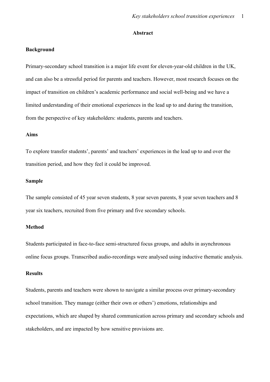#### **Abstract**

#### **Background**

Primary-secondary school transition is a major life event for eleven-year-old children in the UK, and can also be a stressful period for parents and teachers. However, most research focuses on the impact of transition on children's academic performance and social well-being and we have a limited understanding of their emotional experiences in the lead up to and during the transition, from the perspective of key stakeholders: students, parents and teachers.

#### **Aims**

To explore transfer students', parents' and teachers' experiences in the lead up to and over the transition period, and how they feel it could be improved.

#### **Sample**

The sample consisted of 45 year seven students, 8 year seven parents, 8 year seven teachers and 8 year six teachers, recruited from five primary and five secondary schools.

#### **Method**

Students participated in face-to-face semi-structured focus groups, and adults in asynchronous online focus groups. Transcribed audio-recordings were analysed using inductive thematic analysis.

#### **Results**

Students, parents and teachers were shown to navigate a similar process over primary-secondary school transition. They manage (either their own or others') emotions, relationships and expectations, which are shaped by shared communication across primary and secondary schools and stakeholders, and are impacted by how sensitive provisions are.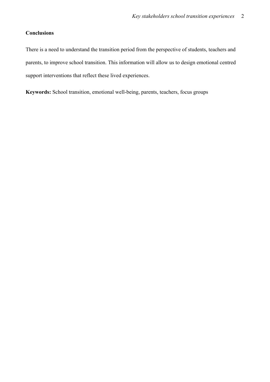### **Conclusions**

There is a need to understand the transition period from the perspective of students, teachers and parents, to improve school transition. This information will allow us to design emotional centred support interventions that reflect these lived experiences.

**Keywords:** School transition, emotional well-being, parents, teachers, focus groups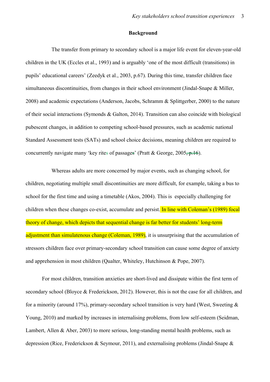#### **Background**

The transfer from primary to secondary school is a major life event for eleven-year-old children in the UK (Eccles et al., 1993) and is arguably 'one of the most difficult (transitions) in pupils' educational careers' (Zeedyk et al., 2003, p.67). During this time, transfer children face simultaneous discontinuities, from changes in their school environment (Jindal-Snape & Miller, 2008) and academic expectations (Anderson, Jacobs, Schramm & Splittgerber, 2000) to the nature of their social interactions (Symonds & Galton, 2014). Transition can also coincide with biological pubescent changes, in addition to competing school-based pressures, such as academic national Standard Assessment tests (SATs) and school choice decisions, meaning children are required to concurrently navigate many 'key rites of passages' (Pratt & George, 2005, p.16).

Whereas adults are more concerned by major events, such as changing school, for children, negotiating multiple small discontinuities are more difficult, for example, taking a bus to school for the first time and using a timetable (Akos, 2004). This is especially challenging for children when these changes co-exist, accumulate and persist. In line with Coleman's (1989) focal theory of change, which depicts that sequential change is far better for students' long-term adjustment than simulatenous change (Coleman, 1989), it is unsurprising that the accumulation of stressors children face over primary-secondary school transition can cause some degree of anxiety and apprehension in most children (Qualter, Whiteley, Hutchinson & Pope, 2007).

For most children, transition anxieties are short-lived and dissipate within the first term of secondary school (Bloyce & Frederickson, 2012). However, this is not the case for all children, and for a minority (around 17%), primary-secondary school transition is very hard (West, Sweeting  $\&$ Young, 2010) and marked by increases in internalising problems, from low self-esteem (Seidman, Lambert, Allen & Aber, 2003) to more serious, long-standing mental health problems, such as depression (Rice, Frederickson & Seymour, 2011), and externalising problems (Jindal-Snape &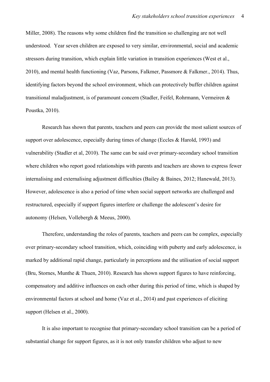Miller, 2008). The reasons why some children find the transition so challenging are not well understood. Year seven children are exposed to very similar, environmental, social and academic stressors during transition, which explain little variation in transition experiences (West et al., 2010), and mental health functioning (Vaz, Parsons, Falkmer, Passmore & Falkmer., 2014). Thus, identifying factors beyond the school environment, which can protectively buffer children against transitional maladjustment, is of paramount concern (Stadler, Feifel, Rohrmann, Vermeiren & Poustka, 2010).

Research has shown that parents, teachers and peers can provide the most salient sources of support over adolescence, especially during times of change (Eccles & Harold, 1993) and vulnerability (Stadler et al, 2010). The same can be said over primary-secondary school transition where children who report good relationships with parents and teachers are shown to express fewer internalising and externalising adjustment difficulties (Bailey & Baines, 2012; Hanewald, 2013). However, adolescence is also a period of time when social support networks are challenged and restructured, especially if support figures interfere or challenge the adolescent's desire for autonomy (Helsen, Vollebergh & Meeus, 2000).

Therefore, understanding the roles of parents, teachers and peers can be complex, especially over primary-secondary school transition, which, coinciding with puberty and early adolescence, is marked by additional rapid change, particularly in perceptions and the utilisation of social support (Bru, Stornes, Munthe & Thuen, 2010). Research has shown support figures to have reinforcing, compensatory and additive influences on each other during this period of time, which is shaped by environmental factors at school and home (Vaz et al., 2014) and past experiences of eliciting support (Helsen et al., 2000).

It is also important to recognise that primary-secondary school transition can be a period of substantial change for support figures, as it is not only transfer children who adjust to new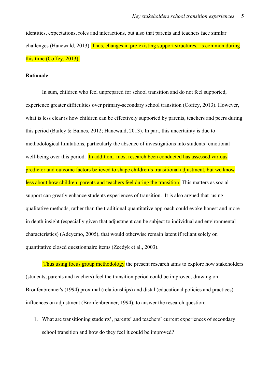identities, expectations, roles and interactions, but also that parents and teachers face similar challenges (Hanewald, 2013). Thus, changes in pre-existing support structures, is common during this time (Coffey, 2013).

#### **Rationale**

In sum, children who feel unprepared for school transition and do not feel supported, experience greater difficulties over primary-secondary school transition (Coffey, 2013). However, what is less clear is how children can be effectively supported by parents, teachers and peers during this period (Bailey & Baines, 2012; Hanewald, 2013). In part, this uncertainty is due to methodological limitations, particularly the absence of investigations into students' emotional well-being over this period. In addition, most research been conducted has assessed various predictor and outcome factors believed to shape children's transitional adjustment, but we know less about how children, parents and teachers feel during the transition. This matters as social support can greatly enhance students experiences of transition. It is also argued that using qualitative methods, rather than the traditional quantitative approach could evoke honest and more in depth insight (especially given that adjustment can be subject to individual and environmental characteristics) (Adeyemo, 2005), that would otherwise remain latent if reliant solely on quantitative closed questionnaire items (Zeedyk et al., 2003).

Thus using focus group methodology the present research aims to explore how stakeholders (students, parents and teachers) feel the transition period could be improved, drawing on Bronfenbrenner's (1994) proximal (relationships) and distal (educational policies and practices) influences on adjustment (Bronfenbrenner, 1994), to answer the research question:

1. What are transitioning students', parents' and teachers' current experiences of secondary school transition and how do they feel it could be improved?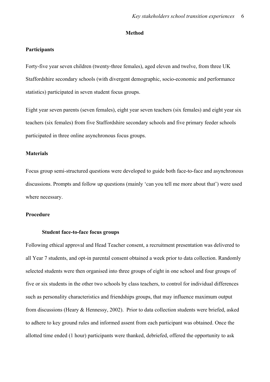#### **Method**

#### **Participants**

Forty-five year seven children (twenty-three females), aged eleven and twelve, from three UK Staffordshire secondary schools (with divergent demographic, socio-economic and performance statistics) participated in seven student focus groups.

Eight year seven parents (seven females), eight year seven teachers (six females) and eight year six teachers (six females) from five Staffordshire secondary schools and five primary feeder schools participated in three online asynchronous focus groups.

#### **Materials**

Focus group semi-structured questions were developed to guide both face-to-face and asynchronous discussions. Prompts and follow up questions (mainly 'can you tell me more about that') were used where necessary.

#### **Procedure**

#### **Student face-to-face focus groups**

Following ethical approval and Head Teacher consent, a recruitment presentation was delivered to all Year 7 students, and opt-in parental consent obtained a week prior to data collection. Randomly selected students were then organised into three groups of eight in one school and four groups of five or six students in the other two schools by class teachers, to control for individual differences such as personality characteristics and friendships groups, that may influence maximum output from discussions (Heary & Hennessy, 2002). Prior to data collection students were briefed, asked to adhere to key ground rules and informed assent from each participant was obtained. Once the allotted time ended (1 hour) participants were thanked, debriefed, offered the opportunity to ask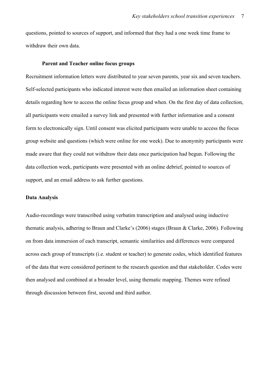questions, pointed to sources of support, and informed that they had a one week time frame to withdraw their own data.

#### **Parent and Teacher online focus groups**

Recruitment information letters were distributed to year seven parents, year six and seven teachers. Self-selected participants who indicated interest were then emailed an information sheet containing details regarding how to access the online focus group and when. On the first day of data collection, all participants were emailed a survey link and presented with further information and a consent form to electronically sign. Until consent was elicited participants were unable to access the focus group website and questions (which were online for one week). Due to anonymity participants were made aware that they could not withdraw their data once participation had begun. Following the data collection week, participants were presented with an online debrief, pointed to sources of support, and an email address to ask further questions.

#### **Data Analysis**

Audio-recordings were transcribed using verbatim transcription and analysed using inductive thematic analysis, adhering to Braun and Clarke's (2006) stages (Braun & Clarke, 2006). Following on from data immersion of each transcript, semantic similarities and differences were compared across each group of transcripts (i.e. student or teacher) to generate codes, which identified features of the data that were considered pertinent to the research question and that stakeholder. Codes were then analysed and combined at a broader level, using thematic mapping. Themes were refined through discussion between first, second and third author.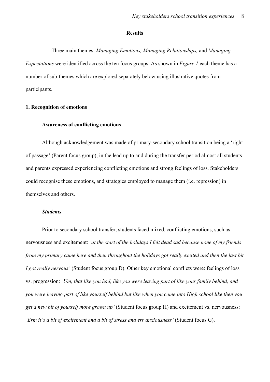#### **Results**

Three main themes: *Managing Emotions, Managing Relationships,* and *Managing Expectations* were identified across the ten focus groups. As shown in *Figure 1* each theme has a number of sub-themes which are explored separately below using illustrative quotes from participants.

#### **1. Recognition of emotions**

#### **Awareness of conflicting emotions**

Although acknowledgement was made of primary-secondary school transition being a 'right of passage' (Parent focus group), in the lead up to and during the transfer period almost all students and parents expressed experiencing conflicting emotions and strong feelings of loss. Stakeholders could recognise these emotions, and strategies employed to manage them (i.e. repression) in themselves and others.

#### *Students*

Prior to secondary school transfer, students faced mixed, conflicting emotions, such as nervousness and excitement: *'at the start of the holidays I felt dead sad because none of my friends from my primary came here and then throughout the holidays got really excited and then the last bit I got really nervous'* (Student focus group D). Other key emotional conflicts were: feelings of loss vs. progression: *'Um, that like you had, like you were leaving part of like your family behind, and you were leaving part of like yourself behind but like when you come into High school like then you get a new bit of yourself more grown up'* (Student focus group H) and excitement vs. nervousness: *'Erm it's a bit of excitement and a bit of stress and err anxiousness'* (Student focus G).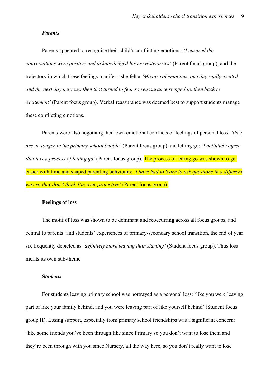#### *Parents*

Parents appeared to recognise their child's conflicting emotions: *'I ensured the conversations were positive and acknowledged his nerves/worries'* (Parent focus group), and the trajectory in which these feelings manifest: she felt a *'Mixture of emotions, one day really excited and the next day nervous, then that turned to fear so reassurance stepped in, then back to excitement'* (Parent focus group). Verbal reassurance was deemed best to support students manage these conflicting emotions.

Parents were also negotiang their own emotional conflicts of feelings of personal loss: *'they are no longer in the primary school bubble'* (Parent focus group) and letting go: *'I definitely agree that it is a process of letting go'* (Parent focus group). The process of letting go was shown to get easier with time and shaped parenting behviours: *'I have had to learn to ask questions in a different way so they don't think I'm over protective'* (Parent focus group).

#### **Feelings of loss**

The motif of loss was shown to be dominant and reoccurring across all focus groups, and central to parents' and students' experiences of primary-secondary school transition, the end of year six frequently depicted as *'definitely more leaving than starting'* (Student focus group). Thus loss merits its own sub-theme.

#### **S***tudents*

For students leaving primary school was portrayed as a personal loss: 'like you were leaving part of like your family behind, and you were leaving part of like yourself behind' (Student focus group H). Losing support, especially from primary school friendships was a significant concern: 'like some friends you've been through like since Primary so you don't want to lose them and they're been through with you since Nursery, all the way here, so you don't really want to lose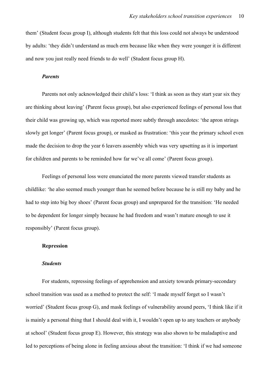them' (Student focus group I), although students felt that this loss could not always be understood by adults: 'they didn't understand as much erm because like when they were younger it is different and now you just really need friends to do well' (Student focus group H).

#### *Parents*

Parents not only acknowledged their child's loss: 'I think as soon as they start year six they are thinking about leaving' (Parent focus group), but also experienced feelings of personal loss that their child was growing up, which was reported more subtly through anecdotes: 'the apron strings slowly get longer' (Parent focus group), or masked as frustration: 'this year the primary school even made the decision to drop the year 6 leavers assembly which was very upsetting as it is important for children and parents to be reminded how far we've all come' (Parent focus group).

Feelings of personal loss were enunciated the more parents viewed transfer students as childlike: 'he also seemed much younger than he seemed before because he is still my baby and he had to step into big boy shoes' (Parent focus group) and unprepared for the transition: 'He needed to be dependent for longer simply because he had freedom and wasn't mature enough to use it responsibly' (Parent focus group).

#### **Repression**

#### *Students*

For students, repressing feelings of apprehension and anxiety towards primary-secondary school transition was used as a method to protect the self: 'I made myself forget so I wasn't worried' (Student focus group G), and mask feelings of vulnerability around peers, 'I think like if it is mainly a personal thing that I should deal with it, I wouldn't open up to any teachers or anybody at school' (Student focus group E). However, this strategy was also shown to be maladaptive and led to perceptions of being alone in feeling anxious about the transition: 'I think if we had someone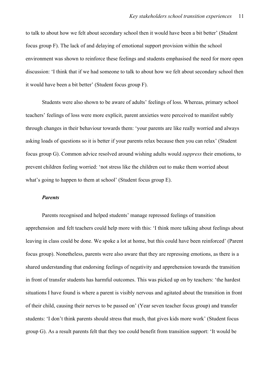to talk to about how we felt about secondary school then it would have been a bit better' (Student focus group F). The lack of and delaying of emotional support provision within the school environment was shown to reinforce these feelings and students emphasised the need for more open discussion: 'I think that if we had someone to talk to about how we felt about secondary school then it would have been a bit better' (Student focus group F).

Students were also shown to be aware of adults' feelings of loss. Whereas, primary school teachers' feelings of loss were more explicit, parent anxieties were perceived to manifest subtly through changes in their behaviour towards them: 'your parents are like really worried and always asking loads of questions so it is better if your parents relax because then you can relax' (Student focus group G). Common advice resolved around wishing adults would *suppress* their emotions, to prevent children feeling worried: 'not stress like the children out to make them worried about what's going to happen to them at school' (Student focus group E).

#### *Parents*

Parents recognised and helped students' manage repressed feelings of transition apprehension and felt teachers could help more with this: 'I think more talking about feelings about leaving in class could be done. We spoke a lot at home, but this could have been reinforced' (Parent focus group). Nonetheless, parents were also aware that they are repressing emotions, as there is a shared understanding that endorsing feelings of negativity and apprehension towards the transition in front of transfer students has harmful outcomes. This was picked up on by teachers: 'the hardest situations I have found is where a parent is visibly nervous and agitated about the transition in front of their child, causing their nerves to be passed on' (Year seven teacher focus group) and transfer students: 'I don't think parents should stress that much, that gives kids more work' (Student focus group G). As a result parents felt that they too could benefit from transition support: 'It would be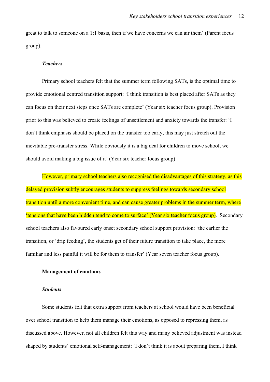great to talk to someone on a 1:1 basis, then if we have concerns we can air them' (Parent focus group).

#### *Teachers*

Primary school teachers felt that the summer term following SATs, is the optimal time to provide emotional centred transition support: 'I think transition is best placed after SATs as they can focus on their next steps once SATs are complete' (Year six teacher focus group). Provision prior to this was believed to create feelings of unsettlement and anxiety towards the transfer: 'I don't think emphasis should be placed on the transfer too early, this may just stretch out the inevitable pre-transfer stress. While obviously it is a big deal for children to move school, we should avoid making a big issue of it' (Year six teacher focus group)

However, primary school teachers also recognised the disadvantages of this strategy, as this delayed provision subtly encourages students to suppress feelings towards secondary school transition until a more convenient time, and can cause greater problems in the summer term, where 'tensions that have been hidden tend to come to surface' (Year six teacher focus group). Secondary school teachers also favoured early onset secondary school support provision: 'the earlier the transition, or 'drip feeding', the students get of their future transition to take place, the more familiar and less painful it will be for them to transfer' (Year seven teacher focus group).

#### **Management of emotions**

#### *Students*

Some students felt that extra support from teachers at school would have been beneficial over school transition to help them manage their emotions, as opposed to repressing them, as discussed above. However, not all children felt this way and many believed adjustment was instead shaped by students' emotional self-management: 'I don't think it is about preparing them, I think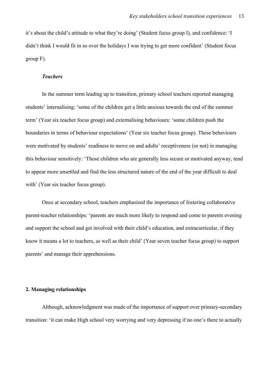it's about the child's attitude to what they're doing' (Student focus group I), and confidence: 'I didn't think I would fit in so over the holidays I was trying to get more confident' (Student focus group F).

#### *Teachers*

In the summer term leading up to transition, primary school teachers reported managing students' internalising: 'some of the children get a little anxious towards the end of the summer term' (Year six teacher focus group) and externalising behaviours: 'some children push the boundaries in terms of behaviour expectations' (Year six teacher focus group). These behaviours were motivated by students' readiness to move on and adults' receptiveness (or not) in managing this behaviour sensitively: 'Those children who are generally less secure or motivated anyway, tend to appear more unsettled and find the less structured nature of the end of the year difficult to deal with' (Year six teacher focus group).

Once at secondary school, teachers emphasised the importance of fostering collaborative parent-teacher relationships: 'parents are much more likely to respond and come to parents evening and support the school and get involved with their child's education, and extracurricular, if they know it means a lot to teachers, as well as their child' (Year seven teacher focus group) to support parents' and manage their apprehensions.

#### **2. Managing relationships**

Although, acknowledgment was made of the importance of support over primary-secondary transition: 'it can make High school very worrying and very depressing if no one's there to actually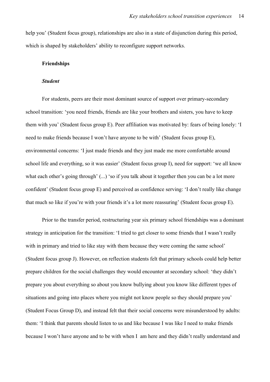help you' (Student focus group), relationships are also in a state of disjunction during this period, which is shaped by stakeholders' ability to reconfigure support networks.

#### **Friendships**

#### *Student*

For students, peers are their most dominant source of support over primary-secondary school transition: 'you need friends, friends are like your brothers and sisters, you have to keep them with you' (Student focus group E). Peer affiliation was motivated by: fears of being lonely: 'I need to make friends because I won't have anyone to be with' (Student focus group E), environmental concerns: 'I just made friends and they just made me more comfortable around school life and everything, so it was easier' (Student focus group I), need for support: 'we all know what each other's going through' (...) 'so if you talk about it together then you can be a lot more confident' (Student focus group E) and perceived as confidence serving: 'I don't really like change that much so like if you're with your friends it's a lot more reassuring' (Student focus group E).

Prior to the transfer period, restructuring year six primary school friendships was a dominant strategy in anticipation for the transition: 'I tried to get closer to some friends that I wasn't really with in primary and tried to like stay with them because they were coming the same school' (Student focus group J). However, on reflection students felt that primary schools could help better prepare children for the social challenges they would encounter at secondary school: 'they didn't prepare you about everything so about you know bullying about you know like different types of situations and going into places where you might not know people so they should prepare you' (Student Focus Group D), and instead felt that their social concerns were misunderstood by adults: them: 'I think that parents should listen to us and like because I was like I need to make friends because I won't have anyone and to be with when I am here and they didn't really understand and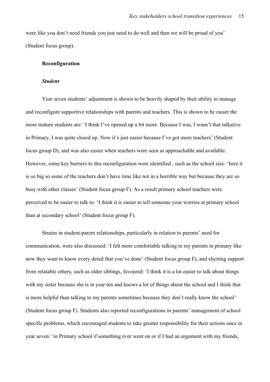were like you don't need friends you just need to do well and then we will be proud of you' (Student focus group).

#### **Reconfiguration**

#### *Student*

Year seven students' adjustment is shown to be heavily shaped by their ability to manage and reconfigure supportive relationships with parents and teachers. This is shown to be easier the more mature students are: 'I think I've opened up a bit more. Because I was, I wasn't that talkative in Primary, I was quite closed up. Now it's just easier because I've got more teachers' (Student focus group D), and was also easier when teachers were seen as approachable and available. However, some key barriers to this reconfiguration were identified , such as the school size: 'here it is so big so some of the teachers don't have time like not in a horrible way but because they are so busy with other classes' (Student focus group F). As a result primary school teachers were perceived to be easier to talk to: 'I think it is easier to tell someone your worries at primary school than at secondary school' (Student focus group F).

Strains in student-parent relationships, particularly in relation to parents' need for communication, were also discussed: 'I felt more comfortable talking to my parents in primary like now they want to know every detail that you've done' (Student focus group F), and eliciting support from relatable others, such as older siblings, favoured: 'I think it is a lot easier to talk about things with my sister because she is in year ten and knows a lot of things about the school and I think that is more helpful than talking to my parents sometimes because they don't really know the school' (Student focus group F). Students also reported reconfigurations in parents' management of school specific problems, which encouraged students to take greater responsibility for their actions once in year seven: 'in Primary school if something ever went on or if I had an argument with my friends,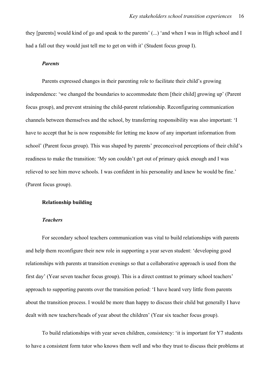they [parents] would kind of go and speak to the parents' (...) 'and when I was in High school and I had a fall out they would just tell me to get on with it' (Student focus group I).

#### *Parents*

Parents expressed changes in their parenting role to facilitate their child's growing independence: 'we changed the boundaries to accommodate them [their child] growing up' (Parent focus group), and prevent straining the child-parent relationship. Reconfiguring communication channels between themselves and the school, by transferring responsibility was also important: 'I have to accept that he is now responsible for letting me know of any important information from school' (Parent focus group). This was shaped by parents' preconceived perceptions of their child's readiness to make the transition: 'My son couldn't get out of primary quick enough and I was relieved to see him move schools. I was confident in his personality and knew he would be fine.' (Parent focus group).

#### **Relationship building**

#### *Teachers*

For secondary school teachers communication was vital to build relationships with parents and help them reconfigure their new role in supporting a year seven student: 'developing good relationships with parents at transition evenings so that a collaborative approach is used from the first day' (Year seven teacher focus group). This is a direct contrast to primary school teachers' approach to supporting parents over the transition period: 'I have heard very little from parents about the transition process. I would be more than happy to discuss their child but generally I have dealt with new teachers/heads of year about the children' (Year six teacher focus group).

To build relationships with year seven children, consistency: 'it is important for Y7 students to have a consistent form tutor who knows them well and who they trust to discuss their problems at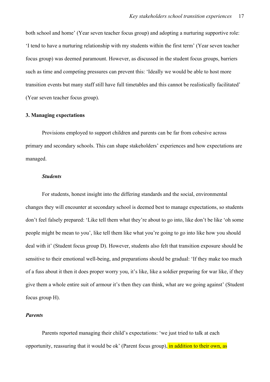both school and home' (Year seven teacher focus group) and adopting a nurturing supportive role: 'I tend to have a nurturing relationship with my students within the first term' (Year seven teacher focus group) was deemed paramount. However, as discussed in the student focus groups, barriers such as time and competing pressures can prevent this: 'Ideally we would be able to host more transition events but many staff still have full timetables and this cannot be realistically facilitated' (Year seven teacher focus group).

#### **3. Managing expectations**

Provisions employed to support children and parents can be far from cohesive across primary and secondary schools. This can shape stakeholders' experiences and how expectations are managed.

#### *Students*

For students, honest insight into the differing standards and the social, environmental changes they will encounter at secondary school is deemed best to manage expectations, so students don't feel falsely prepared: 'Like tell them what they're about to go into, like don't be like 'oh some people might be mean to you', like tell them like what you're going to go into like how you should deal with it' (Student focus group D). However, students also felt that transition exposure should be sensitive to their emotional well-being, and preparations should be gradual: 'If they make too much of a fuss about it then it does proper worry you, it's like, like a soldier preparing for war like, if they give them a whole entire suit of armour it's then they can think, what are we going against' (Student focus group H).

#### *Parents*

Parents reported managing their child's expectations: 'we just tried to talk at each opportunity, reassuring that it would be ok' (Parent focus group), in addition to their own, as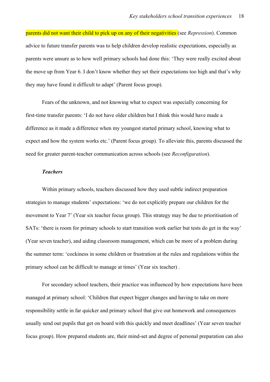parents did not want their child to pick up on any of their negativities (see *Repression*). Common advice to future transfer parents was to help children develop realistic expectations, especially as parents were unsure as to how well primary schools had done this: 'They were really excited about the move up from Year 6. I don't know whether they set their expectations too high and that's why they may have found it difficult to adapt' (Parent focus group).

Fears of the unknown, and not knowing what to expect was especially concerning for first-time transfer parents: 'I do not have older children but I think this would have made a difference as it made a difference when my youngest started primary school, knowing what to expect and how the system works etc.' (Parent focus group). To alleviate this, parents discussed the need for greater parent-teacher communication across schools (see *Reconfiguration*).

#### *Teachers*

Within primary schools, teachers discussed how they used subtle indirect preparation strategies to manage students' expectations: 'we do not explicitly prepare our children for the movement to Year 7' (Year six teacher focus group). This strategy may be due to prioritisation of SATs: 'there is room for primary schools to start transition work earlier but tests do get in the way' (Year seven teacher), and aiding classroom management, which can be more of a problem during the summer term: 'cockiness in some children or frustration at the rules and regulations within the primary school can be difficult to manage at times' (Year six teacher) .

For secondary school teachers, their practice was influenced by how expectations have been managed at primary school: 'Children that expect bigger changes and having to take on more responsibility settle in far quicker and primary school that give out homework and consequences usually send out pupils that get on board with this quickly and meet deadlines' (Year seven teacher focus group). How prepared students are, their mind-set and degree of personal preparation can also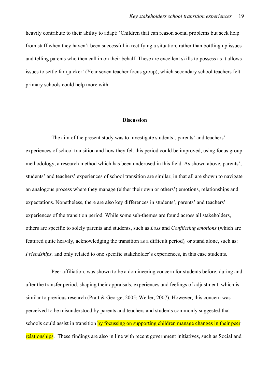heavily contribute to their ability to adapt: 'Children that can reason social problems but seek help from staff when they haven't been successful in rectifying a situation, rather than bottling up issues and telling parents who then call in on their behalf. These are excellent skills to possess as it allows issues to settle far quicker' (Year seven teacher focus group), which secondary school teachers felt primary schools could help more with.

#### **Discussion**

The aim of the present study was to investigate students', parents' and teachers' experiences of school transition and how they felt this period could be improved, using focus group methodology, a research method which has been underused in this field. As shown above, parents', students' and teachers' experiences of school transition are similar, in that all are shown to navigate an analogous process where they manage (either their own or others') emotions, relationships and expectations. Nonetheless, there are also key differences in students', parents' and teachers' experiences of the transition period. While some sub-themes are found across all stakeholders, others are specific to solely parents and students, such as *Loss* and *Conflicting emotions* (which are featured quite heavily, acknowledging the transition as a difficult period)*,* or stand alone, such as: *Friendships,* and only related to one specific stakeholder's experiences, in this case students.

Peer affiliation, was shown to be a domineering concern for students before, during and after the transfer period, shaping their appraisals, experiences and feelings of adjustment, which is similar to previous research (Pratt & George, 2005; Weller, 2007). However, this concern was perceived to be misunderstood by parents and teachers and students commonly suggested that schools could assist in transition by focussing on supporting children manage changes in their peer relationships. These findings are also in line with recent government initiatives, such as Social and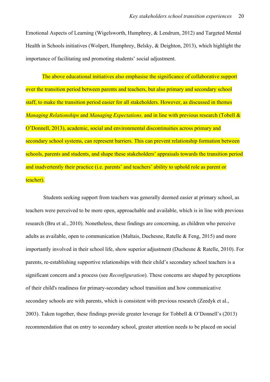Emotional Aspects of Learning (Wigelsworth, Humphrey, & Lendrum, 2012) and Targeted Mental Health in Schools initiatives (Wolpert, Humphrey, Belsky, & Deighton, 2013), which highlight the importance of facilitating and promoting students' social adjustment.

The above educational initiatives also emphasise the significance of collaborative support over the transition period between parents and teachers, but also primary and secondary school staff, to make the transition period easier for all stakeholders. However, as discussed in themes *Managing Relationships* and *Managing Expectations,* and in line with previous research (Tobell & O'Donnell, 2013), academic, social and environmental discontinuities across primary and secondary school systems, can represent barriers. This can prevent relationship formation between schools, parents and students, and shape these stakeholders' appraisals towards the transition period and inadvertently their practice (i.e. parents' and teachers' ability to uphold role as parent or teacher).

 Students seeking support from teachers was generally deemed easier at primary school, as teachers were perceived to be more open, approachable and available, which is in line with previous research (Bru et al., 2010). Nonetheless, these findings are concerning, as children who perceive adults as available, open to communication (Maltais, Duchesne, Ratelle & Feng, 2015) and more importantly involved in their school life, show superior adjustment (Duchesne & Ratelle, 2010). For parents, re-establishing supportive relationships with their child's secondary school teachers is a significant concern and a process (see *Reconfiguration*). These concerns are shaped by perceptions of their child's readiness for primary-secondary school transition and how communicative secondary schools are with parents, which is consistent with previous research (Zeedyk et al., 2003). Taken together, these findings provide greater leverage for Tobbell & O'Donnell's (2013) recommendation that on entry to secondary school, greater attention needs to be placed on social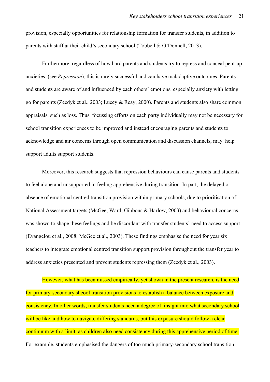provision, especially opportunities for relationship formation for transfer students, in addition to parents with staff at their child's secondary school (Tobbell & O'Donnell, 2013).

Furthermore, regardless of how hard parents and students try to repress and conceal pent-up anxieties, (see *Repression*)*,* this is rarely successful and can have maladaptive outcomes. Parents and students are aware of and influenced by each others' emotions, especially anxiety with letting go for parents (Zeedyk et al., 2003; Lucey & Reay, 2000). Parents and students also share common appraisals, such as loss. Thus, focussing efforts on each party individually may not be necessary for school transition experiences to be improved and instead encouraging parents and students to acknowledge and air concerns through open communication and discussion channels, may help support adults support students.

Moreover, this research suggests that repression behaviours can cause parents and students to feel alone and unsupported in feeling apprehensive during transition. In part, the delayed or absence of emotional centred transition provision within primary schools, due to prioritisation of National Assessment targets (McGee, Ward, Gibbons & Harlow, 2003) and behavioural concerns, was shown to shape these feelings and be discordant with transfer students' need to access support (Evangelou et al., 2008; McGee et al., 2003). These findings emphasise the need for year six teachers to integrate emotional centred transition support provision throughout the transfer year to address anxieties presented and prevent students repressing them (Zeedyk et al., 2003).

However, what has been missed empirically, yet shown in the present research, is the need for primary-secondary shcool transition provisions to establish a balance between exposure and consistency. In other words, transfer students need a degree of insight into what secondary school will be like and how to navigate differing standards, but this exposure should follow a clear continuum with a limit, as children also need consistency during this apprehensive period of time. For example, students emphasised the dangers of too much primary-secondary school transition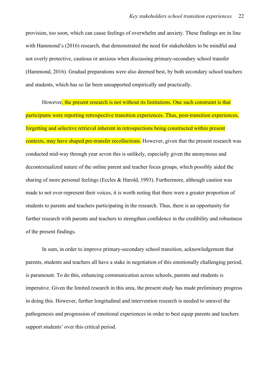provision, too soon, which can cause feelings of overwhelm and anxiety. These findings are in line with Hammond's (2016) research, that demonstrated the need for stakeholders to be mindful and not overly protective, cautious or anxious when discussing primary-secondary school transfer (Hammond, 2016). Gradual preparations were also deemed best, by both secondary school teachers and students, which has so far been unsupported empirically and practically.

However, the present research is not without its limitations. One such constraint is that participants were reporting retrospective transition experiences. Thus, post-transition experiences, forgetting and selective retrieval inherent in retrospections being constructed within present contexts, may have shaped pre-transfer recollections. However, given that the present research was conducted mid-way through year seven this is unlikely, especially given the anonymous and decontextualized nature of the online parent and teacher focus groups, which possibly aided the sharing of more personal feelings (Eccles & Harold, 1993). Furthermore, although caution was made to not over-represent their voices, it is worth noting that there were a greater proportion of students to parents and teachers participating in the research. Thus, there is an opportunity for further research with parents and teachers to strengthen confidence in the credibility and robustness of the present findings.

In sum, in order to improve primary-secondary school transition, acknowledgement that parents, students and teachers all have a stake in negotiation of this emotionally challenging period, is paramount. To do this, enhancing communication across schools, parents and students is imperative. Given the limited research in this area, the present study has made preliminary progress in doing this. However, further longitudinal and intervention research is needed to unravel the pathogenesis and progression of emotional experiences in order to best equip parents and teachers support students' over this critical period.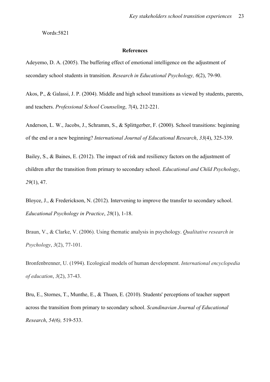Words:5821

#### **References**

Adeyemo, D. A. (2005). The buffering effect of emotional intelligence on the adjustment of secondary school students in transition. *Research in Educational Psychology, 6*(2), 79-90.

Akos, P., & Galassi, J. P. (2004). Middle and high school transitions as viewed by students, parents, and teachers. *Professional School Counseling*, *7*(4), 212-221.

Anderson, L. W., Jacobs, J., Schramm, S., & Splittgerber, F. (2000). School transitions: beginning of the end or a new beginning? *International Journal of Educational Research*, *33*(4), 325-339.

Bailey, S., & Baines, E. (2012). The impact of risk and resiliency factors on the adjustment of children after the transition from primary to secondary school. *Educational and Child Psychology*, *29*(1), 47.

Bloyce, J., & Frederickson, N. (2012). Intervening to improve the transfer to secondary school. *Educational Psychology in Practice*, *28*(1), 1-18.

Braun, V., & Clarke, V. (2006). Using thematic analysis in psychology. *Qualitative research in Psychology*, *3*(2), 77-101.

Bronfenbrenner, U. (1994). Ecological models of human development. *International encyclopedia of education*, *3*(2), 37-43.

Bru, E., Stornes, T., Munthe, E., & Thuen, E. (2010). Students' perceptions of teacher support across the transition from primary to secondary school. *Scandinavian Journal of Educational Research*, *54(6),* 519-533.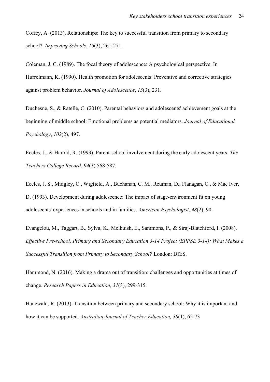Coffey, A. (2013). Relationships: The key to successful transition from primary to secondary school?. *Improving Schools*, *16*(3), 261-271.

Coleman, J. C. (1989). The focal theory of adolescence: A psychological perspective. In Hurrelmann, K. (1990). Health promotion for adolescents: Preventive and corrective strategies against problem behavior. *Journal of Adolescence*, *13*(3), 231.

Duchesne, S., & Ratelle, C. (2010). Parental behaviors and adolescents' achievement goals at the beginning of middle school: Emotional problems as potential mediators. *Journal of Educational Psychology*, *102*(2), 497.

Eccles, J., & Harold, R. (1993). Parent-school involvement during the early adolescent years. *The Teachers College Record*, *94*(3)*,*568-587.

Eccles, J. S., Midgley, C., Wigfield, A., Buchanan, C. M., Reuman, D., Flanagan, C., & Mac Iver, D. (1993). Development during adolescence: The impact of stage-environment fit on young adolescents' experiences in schools and in families. *American Psychologist*, *48*(2), 90.

Evangelou, M., Taggart, B., Sylva, K., Melhuish, E., Sammons, P., & Siraj-Blatchford, I. (2008). *Effective Pre-school, Primary and Secondary Education 3-14 Project (EPPSE 3-14): What Makes a Successful Transition from Primary to Secondary School?* London: DfES.

Hammond, N. (2016). Making a drama out of transition: challenges and opportunities at times of change. *Research Papers in Education, 31*(3), 299-315.

Hanewald, R. (2013). Transition between primary and secondary school: Why it is important and how it can be supported. *Australian Journal of Teacher Education, 38*(1), 62-73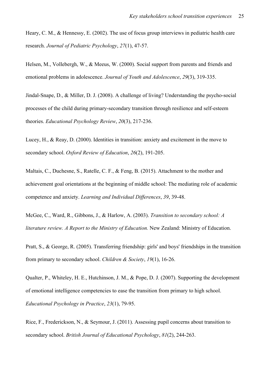Heary, C. M., & Hennessy, E. (2002). The use of focus group interviews in pediatric health care research. *Journal of Pediatric Psychology*, *27*(1), 47-57.

Helsen, M., Vollebergh, W., & Meeus, W. (2000). Social support from parents and friends and emotional problems in adolescence. *Journal of Youth and Adolescence*, *29*(3), 319-335.

Jindal-Snape, D., & Miller, D. J. (2008). A challenge of living? Understanding the psycho-social processes of the child during primary-secondary transition through resilience and self-esteem theories. *Educational Psychology Review*, *20*(3), 217-236.

Lucey, H., & Reay, D. (2000). Identities in transition: anxiety and excitement in the move to secondary school. *Oxford Review of Education*, *26*(2), 191-205.

Maltais, C., Duchesne, S., Ratelle, C. F., & Feng, B. (2015). Attachment to the mother and achievement goal orientations at the beginning of middle school: The mediating role of academic competence and anxiety. *Learning and Individual Differences*, *39*, 39-48.

McGee, C., Ward, R., Gibbons, J., & Harlow, A. (2003). *Transition to secondary school: A literature review. A Report to the Ministry of Education.* New Zealand: Ministry of Education.

Pratt, S., & George, R. (2005). Transferring friendship: girls' and boys' friendships in the transition from primary to secondary school. *Children & Society*, *19*(1), 16-26.

Qualter, P., Whiteley, H. E., Hutchinson, J. M., & Pope, D. J. (2007). Supporting the development of emotional intelligence competencies to ease the transition from primary to high school. *Educational Psychology in Practice*, *23*(1), 79-95.

Rice, F., Frederickson, N., & Seymour, J. (2011). Assessing pupil concerns about transition to secondary school. *British Journal of Educational Psychology*, *81*(2), 244-263.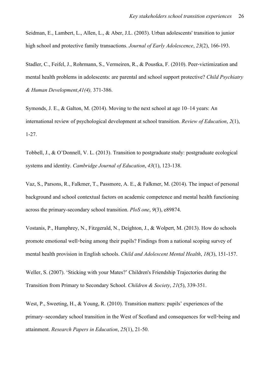Seidman, E., Lambert, L., Allen, L., & Aber, J.L. (2003). Urban adolescents' transition to junior high school and protective family transactions. *Journal of Early Adolescence*, *23*(2), 166-193.

Stadler, C., Feifel, J., Rohrmann, S., Vermeiren, R., & Poustka, F. (2010). Peer-victimization and mental health problems in adolescents: are parental and school support protective? *Child Psychiatry & Human Development*,*41(4),* 371-386.

Symonds, J. E., & Galton, M. (2014). Moving to the next school at age 10–14 years: An international review of psychological development at school transition. *Review of Education*, *2*(1), 1-27.

Tobbell, J., & O'Donnell, V. L. (2013). Transition to postgraduate study: postgraduate ecological systems and identity. *Cambridge Journal of Education*, *43*(1), 123-138.

Vaz, S., Parsons, R., Falkmer, T., Passmore, A. E., & Falkmer, M. (2014). The impact of personal background and school contextual factors on academic competence and mental health functioning across the primary-secondary school transition. *PloS one*, *9*(3), e89874.

Vostanis, P., Humphrey, N., Fitzgerald, N., Deighton, J., & Wolpert, M. (2013). How do schools promote emotional well-being among their pupils? Findings from a national scoping survey of mental health provision in English schools. *Child and Adolescent Mental Health*, *18*(3), 151-157.

Weller, S. (2007). 'Sticking with your Mates?' Children's Friendship Trajectories during the Transition from Primary to Secondary School. *Children & Society*, *21*(5), 339-351.

West, P., Sweeting, H., & Young, R. (2010). Transition matters: pupils' experiences of the primary–secondary school transition in the West of Scotland and consequences for well-being and attainment. *Research Papers in Education*, *25*(1), 21-50.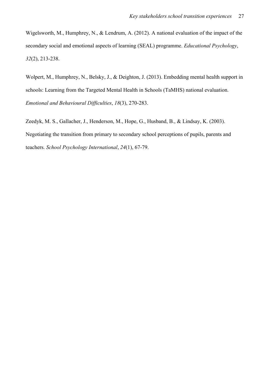Wigelsworth, M., Humphrey, N., & Lendrum, A. (2012). A national evaluation of the impact of the secondary social and emotional aspects of learning (SEAL) programme. *Educational Psychology*, *32*(2), 213-238.

Wolpert, M., Humphrey, N., Belsky, J., & Deighton, J. (2013). Embedding mental health support in schools: Learning from the Targeted Mental Health in Schools (TaMHS) national evaluation. *Emotional and Behavioural Difficulties*, *18*(3), 270-283.

Zeedyk, M. S., Gallacher, J., Henderson, M., Hope, G., Husband, B., & Lindsay, K. (2003). Negotiating the transition from primary to secondary school perceptions of pupils, parents and teachers. *School Psychology International*, *24*(1), 67-79.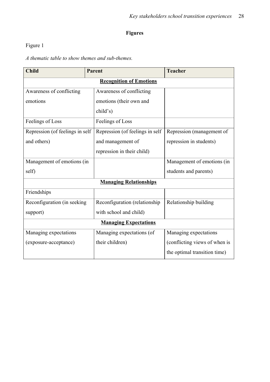### **Figures**

# Figure 1

*A thematic table to show themes and sub-themes.*

| <b>Child</b>                    |  | <b>Parent</b>                   | <b>Teacher</b>                |  |
|---------------------------------|--|---------------------------------|-------------------------------|--|
| <b>Recognition of Emotions</b>  |  |                                 |                               |  |
| Awareness of conflicting        |  | Awareness of conflicting        |                               |  |
| emotions                        |  | emotions (their own and         |                               |  |
|                                 |  | child's)                        |                               |  |
| Feelings of Loss                |  | Feelings of Loss                |                               |  |
| Repression (of feelings in self |  | Repression (of feelings in self | Repression (management of     |  |
| and others)                     |  | and management of               | repression in students)       |  |
|                                 |  | repression in their child)      |                               |  |
| Management of emotions (in      |  |                                 | Management of emotions (in    |  |
| self)                           |  |                                 | students and parents)         |  |
| <b>Managing Relationships</b>   |  |                                 |                               |  |
| Friendships                     |  |                                 |                               |  |
| Reconfiguration (in seeking     |  | Reconfiguration (relationship   | Relationship building         |  |
| support)                        |  | with school and child)          |                               |  |
| <b>Managing Expectations</b>    |  |                                 |                               |  |
| Managing expectations           |  | Managing expectations (of       | Managing expectations         |  |
| (exposure-acceptance)           |  | their children)                 | (conflicting views of when is |  |
|                                 |  |                                 | the optimal transition time)  |  |